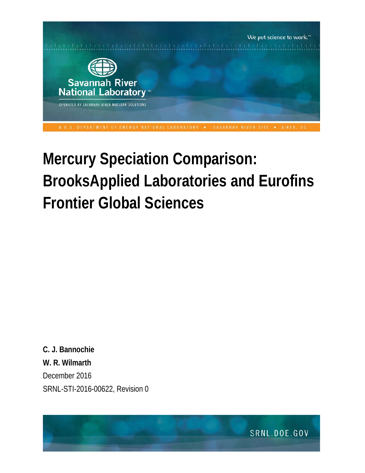

# **Mercury Speciation Comparison: BrooksApplied Laboratories and Eurofins Frontier Global Sciences**

**C. J. Bannochie W. R. Wilmarth** December 2016 SRNL-STI-2016-00622, Revision 0

SRNL.DOE.GOV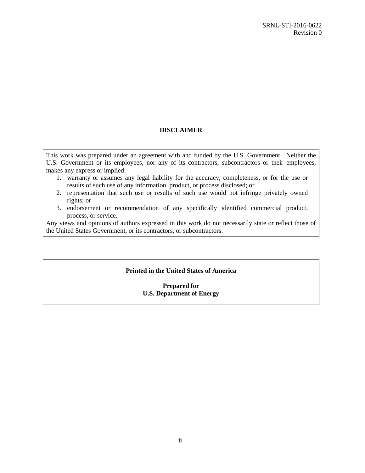#### **DISCLAIMER**

This work was prepared under an agreement with and funded by the U.S. Government. Neither the U.S. Government or its employees, nor any of its contractors, subcontractors or their employees, makes any express or implied:

- 1. warranty or assumes any legal liability for the accuracy, completeness, or for the use or results of such use of any information, product, or process disclosed; or
- 2. representation that such use or results of such use would not infringe privately owned rights; or
- 3. endorsement or recommendation of any specifically identified commercial product, process, or service.

Any views and opinions of authors expressed in this work do not necessarily state or reflect those of the United States Government, or its contractors, or subcontractors.

#### **Printed in the United States of America**

#### **Prepared for U.S. Department of Energy**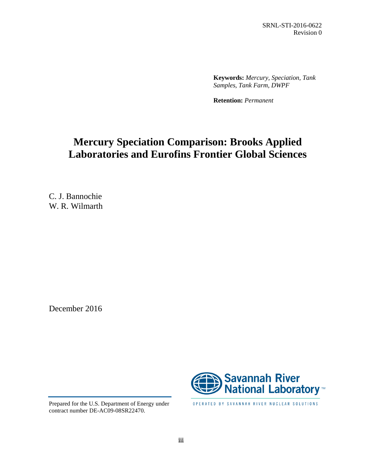SRNL-STI-2016-0622 Revision 0

**Keywords:** *Mercury, Speciation, Tank Samples, Tank Farm, DWPF*

**Retention:** *Permanent*

# **Mercury Speciation Comparison: Brooks Applied Laboratories and Eurofins Frontier Global Sciences**

C. J. Bannochie W. R. Wilmarth

December 2016



OPERATED BY SAVANNAH RIVER NUCLEAR SOLUTIONS

Prepared for the U.S. Department of Energy under contract number DE-AC09-08SR22470.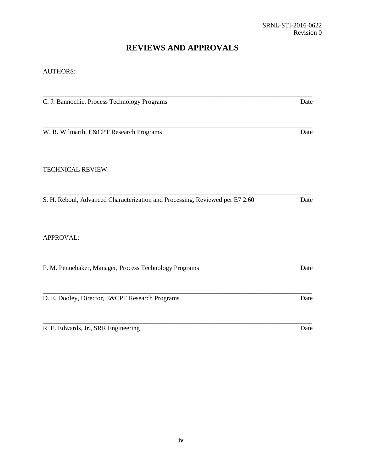## **REVIEWS AND APPROVALS**

#### AUTHORS:

| C. J. Bannochie, Process Technology Programs                                 | Date |
|------------------------------------------------------------------------------|------|
|                                                                              |      |
| W. R. Wilmarth, E&CPT Research Programs                                      | Date |
| <b>TECHNICAL REVIEW:</b>                                                     |      |
| S. H. Reboul, Advanced Characterization and Processing, Reviewed per E7 2.60 | Date |
| APPROVAL:                                                                    |      |
| F. M. Pennebaker, Manager, Process Technology Programs                       | Date |
| D. E. Dooley, Director, E&CPT Research Programs                              | Date |
| R. E. Edwards, Jr., SRR Engineering                                          | Date |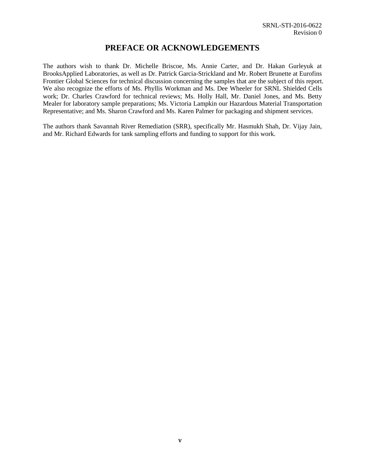### **PREFACE OR ACKNOWLEDGEMENTS**

The authors wish to thank Dr. Michelle Briscoe, Ms. Annie Carter, and Dr. Hakan Gurleyuk at BrooksApplied Laboratories, as well as Dr. Patrick Garcia-Strickland and Mr. Robert Brunette at Eurofins Frontier Global Sciences for technical discussion concerning the samples that are the subject of this report. We also recognize the efforts of Ms. Phyllis Workman and Ms. Dee Wheeler for SRNL Shielded Cells work; Dr. Charles Crawford for technical reviews; Ms. Holly Hall, Mr. Daniel Jones, and Ms. Betty Mealer for laboratory sample preparations; Ms. Victoria Lampkin our Hazardous Material Transportation Representative; and Ms. Sharon Crawford and Ms. Karen Palmer for packaging and shipment services.

The authors thank Savannah River Remediation (SRR), specifically Mr. Hasmukh Shah, Dr. Vijay Jain, and Mr. Richard Edwards for tank sampling efforts and funding to support for this work.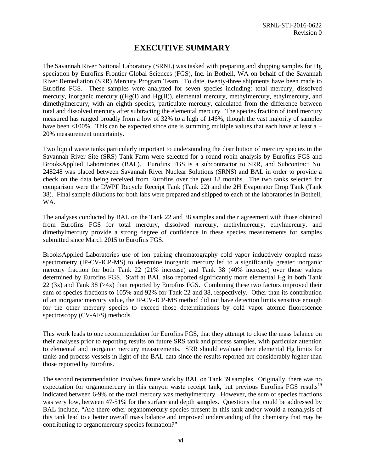## **EXECUTIVE SUMMARY**

The Savannah River National Laboratory (SRNL) was tasked with preparing and shipping samples for Hg speciation by Eurofins Frontier Global Sciences (FGS), Inc. in Bothell, WA on behalf of the Savannah River Remediation (SRR) Mercury Program Team. To date, twenty-three shipments have been made to Eurofins FGS. These samples were analyzed for seven species including: total mercury, dissolved mercury, inorganic mercury ((Hg(I) and Hg(II)), elemental mercury, methylmercury, ethylmercury, and dimethylmercury, with an eighth species, particulate mercury, calculated from the difference between total and dissolved mercury after subtracting the elemental mercury. The species fraction of total mercury measured has ranged broadly from a low of 32% to a high of 146%, though the vast majority of samples have been <100%. This can be expected since one is summing multiple values that each have at least  $a \pm$ 20% measurement uncertainty.

Two liquid waste tanks particularly important to understanding the distribution of mercury species in the Savannah River Site (SRS) Tank Farm were selected for a round robin analysis by Eurofins FGS and BrooksApplied Laboratories (BAL). Eurofins FGS is a subcontractor to SRR, and Subcontract No. 248248 was placed between Savannah River Nuclear Solutions (SRNS) and BAL in order to provide a check on the data being received from Eurofins over the past 18 months. The two tanks selected for comparison were the DWPF Recycle Receipt Tank (Tank 22) and the 2H Evaporator Drop Tank (Tank 38). Final sample dilutions for both labs were prepared and shipped to each of the laboratories in Bothell, WA.

The analyses conducted by BAL on the Tank 22 and 38 samples and their agreement with those obtained from Eurofins FGS for total mercury, dissolved mercury, methylmercury, ethylmercury, and dimethylmercury provide a strong degree of confidence in these species measurements for samples submitted since March 2015 to Eurofins FGS.

BrooksApplied Laboratories use of ion pairing chromatography cold vapor inductively coupled mass spectrometry (IP-CV-ICP-MS) to determine inorganic mercury led to a significantly greater inorganic mercury fraction for both Tank 22 (21% increase) and Tank 38 (40% increase) over those values determined by Eurofins FGS. Staff at BAL also reported significantly more elemental Hg in both Tank 22 (3x) and Tank 38 (>4x) than reported by Eurofins FGS. Combining these two factors improved their sum of species fractions to 105% and 92% for Tank 22 and 38, respectively. Other than its contribution of an inorganic mercury value, the IP-CV-ICP-MS method did not have detection limits sensitive enough for the other mercury species to exceed those determinations by cold vapor atomic fluorescence spectroscopy (CV-AFS) methods.

This work leads to one recommendation for Eurofins FGS, that they attempt to close the mass balance on their analyses prior to reporting results on future SRS tank and process samples, with particular attention to elemental and inorganic mercury measurements. SRR should evaluate their elemental Hg limits for tanks and process vessels in light of the BAL data since the results reported are considerably higher than those reported by Eurofins.

The second recommendation involves future work by BAL on Tank 39 samples. Originally, there was no expectation for organomercury in this canyon waste receipt tank, but previous Eurofins FGS results<sup>[19](#page-9-0)</sup> indicated between 6-9% of the total mercury was methylmercury. However, the sum of species fractions was very low, between 47-51% for the surface and depth samples. Questions that could be addressed by BAL include, "Are there other organomercury species present in this tank and/or would a reanalysis of this tank lead to a better overall mass balance and improved understanding of the chemistry that may be contributing to organomercury species formation?"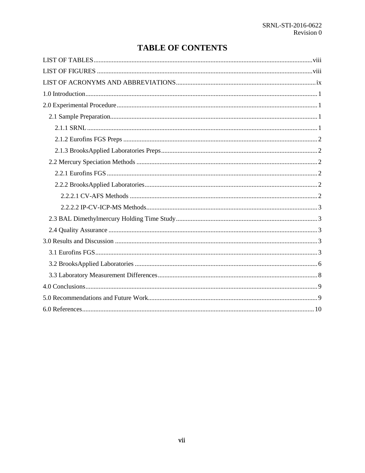## **TABLE OF CONTENTS**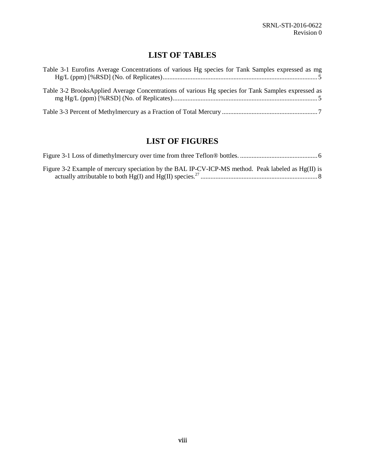# **LIST OF TABLES**

<span id="page-7-0"></span>

| Table 3-1 Eurofins Average Concentrations of various Hg species for Tank Samples expressed as mg   |
|----------------------------------------------------------------------------------------------------|
| Table 3-2 BrooksApplied Average Concentrations of various Hg species for Tank Samples expressed as |
|                                                                                                    |

## **LIST OF FIGURES**

<span id="page-7-1"></span>

| Figure 3-2 Example of mercury speciation by the BAL IP-CV-ICP-MS method. Peak labeled as Hg(II) is |  |
|----------------------------------------------------------------------------------------------------|--|
|                                                                                                    |  |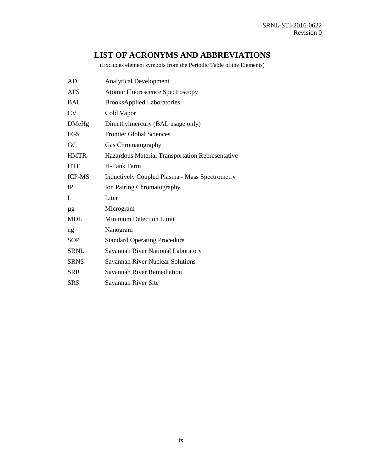## **LIST OF ACRONYMS AND ABBREVIATIONS**

(Excludes element symbols from the Periodic Table of the Elements)

<span id="page-8-0"></span>

| AD             | <b>Analytical Development</b>                         |
|----------------|-------------------------------------------------------|
| AFS            | Atomic Fluorescence Spectroscopy                      |
| <b>BAL</b>     | <b>BrooksApplied Laboratories</b>                     |
| <b>CV</b>      | Cold Vapor                                            |
| <b>DMeHg</b>   | Dimethylmercury (BAL usage only)                      |
| <b>FGS</b>     | <b>Frontier Global Sciences</b>                       |
| GC             | Gas Chromatography                                    |
| <b>HMTR</b>    | Hazardous Material Transportation Representative      |
| <b>HTF</b>     | H-Tank Farm                                           |
| <b>ICP-MS</b>  | <b>Inductively Coupled Plasma - Mass Spectrometry</b> |
| <b>IP</b>      | Ion Pairing Chromatography                            |
| $\mathbf{I}$ . | Liter                                                 |
| μg             | Microgram                                             |
| <b>MDL</b>     | <b>Minimum Detection Limit</b>                        |
| ng             | Nanogram                                              |
| <b>SOP</b>     | <b>Standard Operating Procedure</b>                   |
| <b>SRNL</b>    | Savannah River National Laboratory                    |
| <b>SRNS</b>    | <b>Savannah River Nuclear Solutions</b>               |
| <b>SRR</b>     | <b>Savannah River Remediation</b>                     |
| <b>SRS</b>     | Savannah River Site                                   |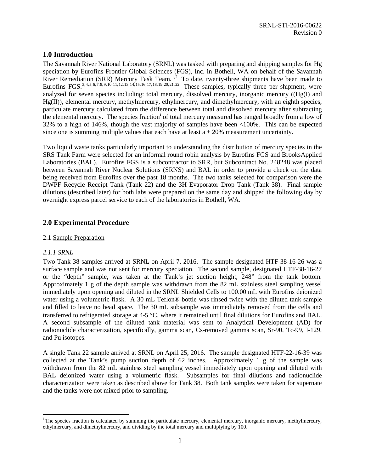#### <span id="page-9-1"></span>**1.0 Introduction**

<span id="page-9-7"></span><span id="page-9-6"></span><span id="page-9-0"></span>The Savannah River National Laboratory (SRNL) was tasked with preparing and shipping samples for Hg speciation by Eurofins Frontier Global Sciences (FGS), Inc. in Bothell, WA on behalf of the Savannah River Remediation (SRR) Mercury Task Team.<sup>[1,](#page-12-0)[2](#page-12-1)</sup> To date, twenty-three shipments have been made to Eurofins FGS.<sup>[3](#page-12-2),[4](#page-12-3),[5](#page-12-4),[6](#page-12-5),[7](#page-12-6),[8](#page-12-7),[9](#page-12-8),[10](#page-12-9),[11,](#page-12-10)[12](#page-12-11),[13,](#page-12-12)[14](#page-12-13),[15](#page-12-14),[16](#page-12-15),[17,](#page-12-16)[18](#page-12-17),[19,](#page-12-18)[20](#page-12-19),[21](#page-12-20),[22](#page-12-21)</sup> These samples, typically three per shipment, were analyzed for seven species including: total mercury, dissolved mercury, inorganic mercury ((Hg(I) and Hg(II)), elemental mercury, methylmercury, ethylmercury, and dimethylmercury, with an eighth species, particulate mercury calculated from the difference between total and dissolved mercury after subtracting the elemental mercury. The spec[i](#page-9-5)es fraction<sup>i</sup> of total mercury measured has ranged broadly from a low of 32% to a high of 146%, though the vast majority of samples have been <100%. This can be expected since one is summing multiple values that each have at least  $a \pm 20\%$  measurement uncertainty.

Two liquid waste tanks particularly important to understanding the distribution of mercury species in the SRS Tank Farm were selected for an informal round robin analysis by Eurofins FGS and BrooksApplied Laboratories (BAL). Eurofins FGS is a subcontractor to SRR, but Subcontract No. 248248 was placed between Savannah River Nuclear Solutions (SRNS) and BAL in order to provide a check on the data being received from Eurofins over the past 18 months. The two tanks selected for comparison were the DWPF Recycle Receipt Tank (Tank 22) and the 3H Evaporator Drop Tank (Tank 38). Final sample dilutions (described later) for both labs were prepared on the same day and shipped the following day by overnight express parcel service to each of the laboratories in Bothell, WA.

#### <span id="page-9-2"></span>**2.0 Experimental Procedure**

#### <span id="page-9-3"></span>2.1 Sample Preparation

#### <span id="page-9-4"></span>*2.1.1 SRNL*

Two Tank 38 samples arrived at SRNL on April 7, 2016. The sample designated HTF-38-16-26 was a surface sample and was not sent for mercury speciation. The second sample, designated HTF-38-16-27 or the "depth" sample, was taken at the Tank's jet suction height, 248" from the tank bottom. Approximately 1 g of the depth sample was withdrawn from the 82 mL stainless steel sampling vessel immediately upon opening and diluted in the SRNL Shielded Cells to 100.00 mL with Eurofins deionized water using a volumetric flask. A 30 mL Teflon® bottle was rinsed twice with the diluted tank sample and filled to leave no head space. The 30 mL subsample was immediately removed from the cells and transferred to refrigerated storage at 4-5 °C, where it remained until final dilutions for Eurofins and BAL. A second subsample of the diluted tank material was sent to Analytical Development (AD) for radionuclide characterization, specifically, gamma scan, Cs-removed gamma scan, Sr-90, Tc-99, I-129, and Pu isotopes.

A single Tank 22 sample arrived at SRNL on April 25, 2016. The sample designated HTF-22-16-39 was collected at the Tank's pump suction depth of 62 inches. Approximately 1 g of the sample was withdrawn from the 82 mL stainless steel sampling vessel immediately upon opening and diluted with BAL deionized water using a volumetric flask. Subsamples for final dilutions and radionuclide characterization were taken as described above for Tank 38. Both tank samples were taken for supernate and the tanks were not mixed prior to sampling.

<span id="page-9-5"></span>i <sup>i</sup> The species fraction is calculated by summing the particulate mercury, elemental mercury, inorganic mercury, methylmercury, ethylmercury, and dimethylmercury, and dividing by the total mercury and multiplying by 100.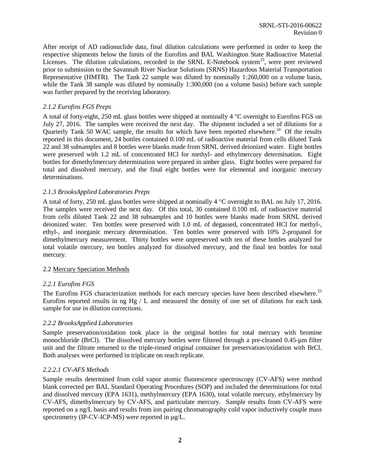After receipt of AD radionuclide data, final dilution calculations were performed in order to keep the respective shipments below the limits of the Eurofins and BAL Washington State Radioactive Material Licenses. The dilution calculations, recorded in the SRNL E-Notebook system<sup>23</sup>, were peer reviewed prior to submission to the Savannah River Nuclear Solutions (SRNS) Hazardous Material Transportation Representative (HMTR). The Tank 22 sample was diluted by nominally 1:260,000 on a volume basis, while the Tank 38 sample was diluted by nominally 1:300,000 (on a volume basis) before each sample was further prepared by the receiving laboratory.

#### <span id="page-10-0"></span>*2.1.2 Eurofins FGS Preps*

A total of forty-eight, 250 mL glass bottles were shipped at nominally 4 °C overnight to Eurofins FGS on July 27, 2016. The samples were received the next day. The shipment included a set of dilutions for a Quarterly Tank 50 WAC sample, the results for which have been reported elsewhere.<sup>[24](#page-12-23)</sup> Of the results reported in this document, 24 bottles contained 0.100 mL of radioactive material from cells diluted Tank 22 and 38 subsamples and 8 bottles were blanks made from SRNL derived deionized water. Eight bottles were preserved with 1.2 mL of concentrated HCl for methyl- and ethylmercury determination. Eight bottles for dimethylmercury determination were prepared in amber glass. Eight bottles were prepared for total and dissolved mercury, and the final eight bottles were for elemental and inorganic mercury determinations.

#### <span id="page-10-1"></span>*2.1.3 BrooksApplied Laboratories Preps*

A total of forty, 250 mL glass bottles were shipped at nominally 4 °C overnight to BAL on July 17, 2016. The samples were received the next day. Of this total, 30 contained 0.100 mL of radioactive material from cells diluted Tank 22 and 38 subsamples and 10 bottles were blanks made from SRNL derived deionized water. Ten bottles were preserved with 1.0 mL of degassed, concentrated HCl for methyl-, ethyl-, and inorganic mercury determination. Ten bottles were preserved with 10% 2-propanol for dimethylmercury measurement. Thirty bottles were unpreserved with ten of these bottles analyzed for total volatile mercury, ten bottles analyzed for dissolved mercury, and the final ten bottles for total mercury.

#### <span id="page-10-2"></span>2.2 Mercury Speciation Methods

#### <span id="page-10-3"></span>*2.2.1 Eurofins FGS*

The Eurofins FGS characterization methods for each mercury species have been described elsewhere.<sup>[25](#page-12-24)</sup> Eurofins reported results in ng Hg / L and measured the density of one set of dilutions for each tank sample for use in dilution corrections.

#### <span id="page-10-4"></span>*2.2.2 BrooksApplied Laboratories*

Sample preservation/oxidation took place in the original bottles for total mercury with bromine monochloride (BrCl). The dissolved mercury bottles were filtered through a pre-cleaned 0.45-µm filter unit and the filtrate returned to the triple-rinsed original container for preservation/oxidation with BrCl. Both analyses were performed in triplicate on reach replicate.

#### <span id="page-10-5"></span>*2.2.2.1 CV-AFS Methods*

Sample results determined from cold vapor atomic fluorescence spectroscopy (CV-AFS) were method blank corrected per BAL Standard Operating Procedures (SOP) and included the determinations for total and dissolved mercury (EPA 1631), methylmercury (EPA 1630), total volatile mercury, ethylmercury by CV-AFS, dimethylmercury by CV-AFS, and particulate mercury. Sample results from CV-AFS were reported on a ng/L basis and results from ion pairing chromatography cold vapor inductively couple mass spectrometry (IP-CV-ICP-MS) were reported in  $\mu$ g/L.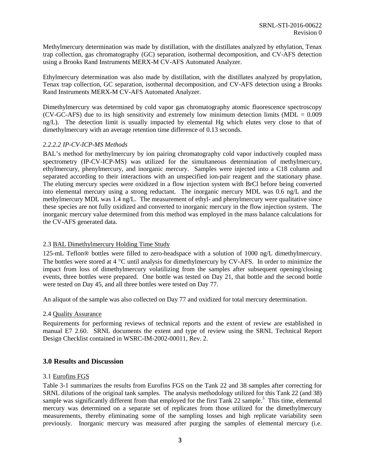Methylmercury determination was made by distillation, with the distillates analyzed by ethylation, Tenax trap collection, gas chromatography (GC) separation, isothermal decomposition, and CV-AFS detection using a Brooks Rand Instruments MERX-M CV-AFS Automated Analyzer.

Ethylmercury determination was also made by distillation, with the distillates analyzed by propylation, Tenax trap collection, GC separation, isothermal decomposition, and CV-AFS detection using a Brooks Rand Instruments MERX-M CV-AFS Automated Analyzer.

Dimethylmercury was determined by cold vapor gas chromatography atomic fluorescence spectroscopy  $(CV-GC-AFS)$  due to its high sensitivity and extremely low minimum detection limits  $(MDL = 0.009$ ng/L). The detection limit is usually impacted by elemental Hg which elutes very close to that of dimethylmercury with an average retention time difference of 0.13 seconds.

#### <span id="page-11-0"></span>*2.2.2.2 IP-CV-ICP-MS Methods*

BAL's method for methylmercury by ion pairing chromatography cold vapor inductively coupled mass spectrometry (IP-CV-ICP-MS) was utilized for the simultaneous determination of methylmercury, ethylmercury, phenylmercury, and inorganic mercury. Samples were injected into a C18 column and separated according to their interactions with an unspecified ion-pair reagent and the stationary phase. The eluting mercury species were oxidized in a flow injection system with BrCl before being converted into elemental mercury using a strong reductant. The inorganic mercury MDL was 0.6 ng/L and the methylmercury MDL was 1.4 ng/L. The measurement of ethyl- and phenylmercury were qualitative since these species are not fully oxidized and converted to inorganic mercury in the flow injection system. The inorganic mercury value determined from this method was employed in the mass balance calculations for the CV-AFS generated data.

#### <span id="page-11-1"></span>2.3 BAL Dimethylmercury Holding Time Study

125-mL Teflon® bottles were filled to zero-headspace with a solution of 1000 ng/L dimethylmercury. The bottles were stored at 4 °C until analysis for dimethylmercury by CV-AFS. In order to minimize the impact from loss of dimethylmercury volatilizing from the samples after subsequent opening/closing events, three bottles were prepared. One bottle was tested on Day 21, that bottle and the second bottle were tested on Day 45, and all three bottles were tested on Day 77.

An aliquot of the sample was also collected on Day 77 and oxidized for total mercury determination.

#### <span id="page-11-2"></span>2.4 Quality Assurance

Requirements for performing reviews of technical reports and the extent of review are established in manual E7 2.60. SRNL documents the extent and type of review using the SRNL Technical Report Design Checklist contained in WSRC-IM-2002-00011, Rev. 2.

#### <span id="page-11-3"></span>**3.0 Results and Discussion**

#### <span id="page-11-4"></span>3.1 Eurofins FGS

[Table 3-1](#page-13-0) summarizes the results from Eurofins FGS on the Tank 22 and 38 samples after correcting for SRNL dilutions of the original tank samples. The analysis methodology utilized for this Tank 22 (and 38) sample was significantly different from that employed for the first Tank 22 sample[.](#page-9-6)<sup>5</sup> This time, elemental mercury was determined on a separate set of replicates from those utilized for the dimethylmercury measurements, thereby eliminating some of the sampling losses and high replicate variability seen previously. Inorganic mercury was measured after purging the samples of elemental mercury (i.e.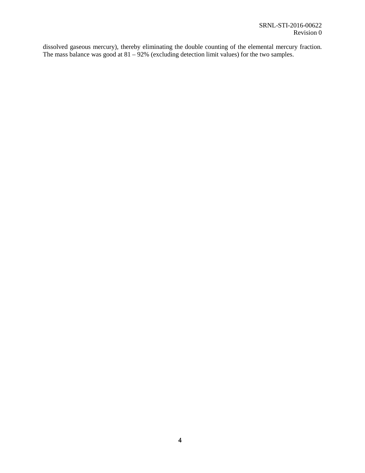<span id="page-12-24"></span><span id="page-12-23"></span><span id="page-12-22"></span><span id="page-12-21"></span><span id="page-12-20"></span><span id="page-12-19"></span><span id="page-12-18"></span><span id="page-12-17"></span><span id="page-12-16"></span><span id="page-12-15"></span><span id="page-12-14"></span><span id="page-12-13"></span><span id="page-12-12"></span><span id="page-12-11"></span><span id="page-12-10"></span><span id="page-12-9"></span><span id="page-12-8"></span><span id="page-12-7"></span><span id="page-12-6"></span><span id="page-12-5"></span><span id="page-12-4"></span><span id="page-12-3"></span><span id="page-12-2"></span><span id="page-12-1"></span><span id="page-12-0"></span>dissolved gaseous mercury), thereby eliminating the double counting of the elemental mercury fraction. The mass balance was good at  $81 - 92\%$  (excluding detection limit values) for the two samples.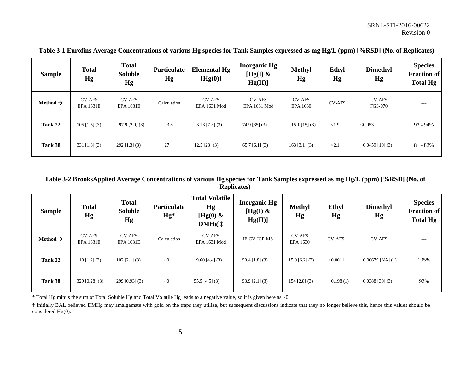| <b>Sample</b>        | <b>Total</b><br>Hg                | <b>Total</b><br><b>Soluble</b><br>Hg | <b>Particulate</b><br>Hg | <b>Elemental Hg</b><br>[Hg(0)] | <b>Inorganic Hg</b><br>[Hg(I) $\&$<br>Hg(II) | <b>Methyl</b><br>Hg       | Ethyl<br>Hg   | <b>Dimethyl</b><br>Hg           | <b>Species</b><br><b>Fraction of</b><br><b>Total Hg</b> |
|----------------------|-----------------------------------|--------------------------------------|--------------------------|--------------------------------|----------------------------------------------|---------------------------|---------------|---------------------------------|---------------------------------------------------------|
| Method $\rightarrow$ | <b>CV-AFS</b><br><b>EPA 1631E</b> | <b>CV-AFS</b><br><b>EPA 1631E</b>    | Calculation              | <b>CV-AFS</b><br>EPA 1631 Mod  | <b>CV-AFS</b><br>EPA 1631 Mod                | <b>CV-AFS</b><br>EPA 1630 | <b>CV-AFS</b> | <b>CV-AFS</b><br><b>FGS-070</b> | $---$                                                   |
| Tank 22              | $105$ [1.5] (3)                   | $97.9$ [2.9] (3)                     | 3.8                      | $3.13$ [7.3] (3)               | $74.9$ [35] (3)                              | $15.1$ [15] (3)           | <1.9          | < 0.053                         | $92 - 94\%$                                             |
| Tank 38              | $331$ [1.8] (3)                   | $292$ [1.3] (3)                      | 27                       | $12.5$ [23] (3)                | $65.7$ [6.1] (3)                             | $163$ [3.1] (3)           | < 2.1         | $0.0459$ [10] (3)               | $81 - 82%$                                              |

**Table 3-1 Eurofins Average Concentrations of various Hg species for Tank Samples expressed as mg Hg/L (ppm) [%RSD] (No. of Replicates)**

#### <span id="page-13-0"></span>**Table 3-2 BrooksApplied Average Concentrations of various Hg species for Tank Samples expressed as mg Hg/L (ppm) [%RSD] (No. of Replicates)**

| <b>Sample</b>        | <b>Total</b><br>Hg                | <b>Total</b><br><b>Soluble</b><br>Hg | <b>Particulate</b><br>$Hg^*$ | <b>Total Volatile</b><br>Hg<br>[Hg(0) $\&$<br>$DMHg$ ] $\ddagger$ | <b>Inorganic Hg</b><br>[Hg(I) $\&$<br>Hg(II) | <b>Methyl</b><br>Hg       | Ethyl<br>Hg   | <b>Dimethyl</b><br>Hg | <b>Species</b><br><b>Fraction of</b><br><b>Total Hg</b> |
|----------------------|-----------------------------------|--------------------------------------|------------------------------|-------------------------------------------------------------------|----------------------------------------------|---------------------------|---------------|-----------------------|---------------------------------------------------------|
| Method $\rightarrow$ | <b>CV-AFS</b><br><b>EPA 1631E</b> | <b>CV-AFS</b><br><b>EPA 1631E</b>    | Calculation                  | <b>CV-AFS</b><br>EPA 1631 Mod                                     | IP-CV-ICP-MS                                 | <b>CV-AFS</b><br>EPA 1630 | <b>CV-AFS</b> | <b>CV-AFS</b>         | ---                                                     |
| Tank 22              | $110$ [1.2] (3)                   | $102$ [2.1] (3)                      | $\sim 0$                     | $9.60$ [4.4] (3)                                                  | $90.4$ [1.8] (3)                             | $15.0$ [6.2] (3)          | < 0.0011      | $0.00679$ [NA] $(1)$  | 105%                                                    |
| Tank 38              | $329$ [0.28] (3)                  | $299$ [0.93] (3)                     | $\sim 0$                     | $55.5$ [4.5] (3)                                                  | $93.9$ [2.1] (3)                             | $154$ [2.8] (3)           | 0.198(1)      | $0.0388$ [30] (3)     | 92%                                                     |

<span id="page-13-1"></span>\* Total Hg minus the sum of Total Soluble Hg and Total Volatile Hg leads to a negative value, so it is given here as ~0.

‡ Initially BAL believed DMHg may amalgamate with gold on the traps they utilize, but subsequent discussions indicate that they no longer believe this, hence this values should be considered Hg(0).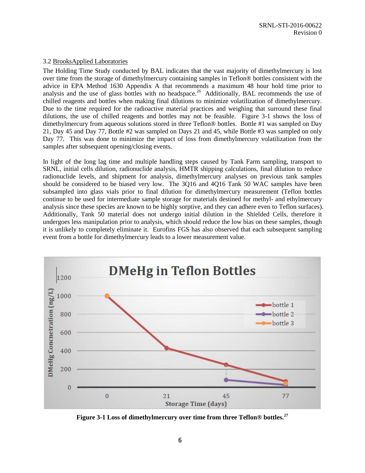#### <span id="page-14-0"></span>3.2 BrooksApplied Laboratories

The Holding Time Study conducted by BAL indicates that the vast majority of dimethylmercury is lost over time from the storage of dimethylmercury containing samples in Teflon® bottles consistent with the advice in EPA Method 1630 Appendix A that recommends a maximum 48 hour hold time prior to analysis and the use of glass bottles with no headspace.<sup>[26](#page-18-1)</sup> Additionally, BAL recommends the use of chilled reagents and bottles when making final dilutions to minimize volatilization of dimethylmercury. Due to the time required for the radioactive material practices and weighing that surround these final dilutions, the use of chilled reagents and bottles may not be feasible. [Figure 3-1](#page-14-1) shows the loss of dimethylmercury from aqueous solutions stored in three Teflon® bottles. Bottle #1 was sampled on Day 21, Day 45 and Day 77, Bottle #2 was sampled on Days 21 and 45, while Bottle #3 was sampled on only Day 77. This was done to minimize the impact of loss from dimethylmercury volatilization from the samples after subsequent opening/closing events.

In light of the long lag time and multiple handling steps caused by Tank Farm sampling, transport to SRNL, initial cells dilution, radionuclide analysis, HMTR shipping calculations, final dilution to reduce radionuclide levels, and shipment for analysis, dimethylmercury analyses on previous tank samples should be considered to be biased very low. The 3Q16 and 4Q16 Tank 50 WAC samples have been subsampled into glass vials prior to final dilution for dimethylmercury measurement (Teflon bottles continue to be used for intermediate sample storage for materials destined for methyl- and ethylmercury analysis since these species are known to be highly sorptive, and they can adhere even to Teflon surfaces). Additionally, Tank 50 material does not undergo initial dilution in the Shielded Cells, therefore it undergoes less manipulation prior to analysis, which should reduce the low bias on these samples, though it is unlikely to completely eliminate it. Eurofins FGS has also observed that each subsequent sampling event from a bottle for dimethylmercury leads to a lower measurement value.



<span id="page-14-2"></span><span id="page-14-1"></span>**Figure 3-1 Loss of dimethylmercury over time from three Teflon® bottles.[27](#page-18-2)**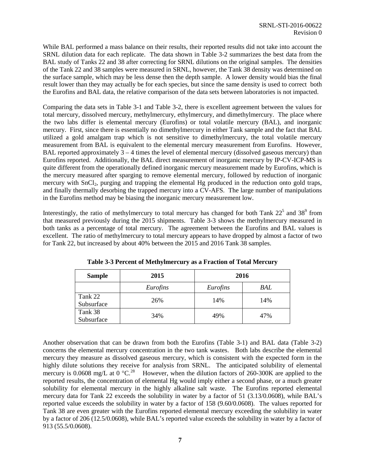While BAL performed a mass balance on their results, their reported results did not take into account the SRNL dilution data for each replicate. The data shown in [Table 3-2](#page-13-1) summarizes the best data from the BAL study of Tanks 22 and 38 after correcting for SRNL dilutions on the original samples. The densities of the Tank 22 and 38 samples were measured in SRNL, however, the Tank 38 density was determined on the surface sample, which may be less dense then the depth sample. A lower density would bias the final result lower than they may actually be for each species, but since the same density is used to correct both the Eurofins and BAL data, the relative comparison of the data sets between laboratories is not impacted.

Comparing the data sets in [Table 3-1](#page-13-0) and [Table 3-2,](#page-13-1) there is excellent agreement between the values for total mercury, dissolved mercury, methylmercury, ethylmercury, and dimethylmercury. The place where the two labs differ is elemental mercury (Eurofins) or total volatile mercury (BAL), and inorganic mercury. First, since there is essentially no dimethylmercury in either Tank sample and the fact that BAL utilized a gold amalgam trap which is not sensitive to dimethylmercury, the total volatile mercury measurement from BAL is equivalent to the elemental mercury measurement from Eurofins. However, BAL reported approximately  $3 - 4$  times the level of elemental mercury (dissolved gaseous mercury) than Eurofins reported. Additionally, the BAL direct measurement of inorganic mercury by IP-CV-ICP-MS is quite different from the operationally defined inorganic mercury measurement made by Eurofins, which is the mercury measured after sparging to remove elemental mercury, followed by reduction of inorganic mercury with SnCl<sub>2</sub>, purging and trapping the elemental Hg produced in the reduction onto gold traps, and finally thermally desorbing the trapped mercury into a CV-AFS. The large number of manipulations in the Eurofins method may be biasing the inorganic mercury measurement low.

Interestingly, the ratio of methylmercury to total mercury has changed for both Tank  $22<sup>5</sup>$  and  $38<sup>9</sup>$  from that measured previously during the 2015 shipments. [Table 3-3](#page-15-0) shows the methylmercury measured in both tanks as a percentage of total mercury. The agreement between the Eurofins and BAL values is excellent. The ratio of methylmercury to total mercury appears to have dropped by almost a factor of two for Tank 22, but increased by about 40% between the 2015 and 2016 Tank 38 samples.

<span id="page-15-0"></span>

| <b>Sample</b>         | 2015     | 2016     |     |  |
|-----------------------|----------|----------|-----|--|
|                       | Eurofins | Eurofins | BAL |  |
| Tank 22<br>Subsurface | 26%      | 14%      | 14% |  |
| Tank 38<br>Subsurface | 34%      | 49%      | 47% |  |

**Table 3-3 Percent of Methylmercury as a Fraction of Total Mercury**

Another observation that can be drawn from both the Eurofins [\(Table 3-1\)](#page-13-0) and BAL data [\(Table 3-2\)](#page-13-1) concerns the elemental mercury concentration in the two tank wastes. Both labs describe the elemental mercury they measure as dissolved gaseous mercury, which is consistent with the expected form in the highly dilute solutions they receive for analysis from SRNL. The anticipated solubility of elemental mercury is 0.0608 mg/L at 0  $^{\circ}$ C.<sup>[28](#page-19-0)</sup> However, when the dilution factors of 260-300K are applied to the reported results, the concentration of elemental Hg would imply either a second phase, or a much greater solubility for elemental mercury in the highly alkaline salt waste. The Eurofins reported elemental mercury data for Tank 22 exceeds the solubility in water by a factor of 51 (3.13/0.0608), while BAL's reported value exceeds the solubility in water by a factor of 158 (9.60/0.0608). The values reported for Tank 38 are even greater with the Eurofins reported elemental mercury exceeding the solubility in water by a factor of 206 (12.5/0.0608), while BAL's reported value exceeds the solubility in water by a factor of 913 (55.5/0.0608).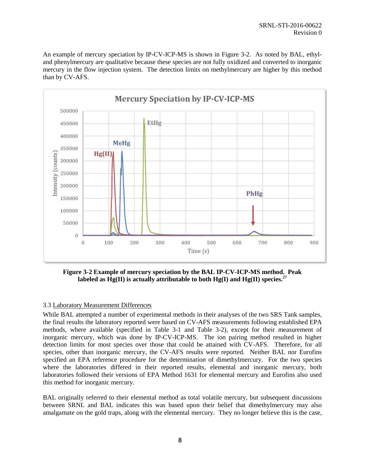An example of mercury speciation by IP-CV-ICP-MS is shown in [Figure 3-2.](#page-16-1) As noted by BAL, ethyland phenylmercury are qualitative because these species are not fully oxidized and converted to inorganic mercury in the flow injection system. The detection limits on methylmercury are higher by this method than by CV-AFS.



<span id="page-16-1"></span>**Figure 3-2 Example of mercury speciation by the BAL IP-CV-ICP-MS method. Peak labeled as Hg(II) is actually attributable to both Hg(I) and Hg(II) species.[27](#page-14-2)**

#### <span id="page-16-0"></span>3.3 Laboratory Measurement Differences

While BAL attempted a number of experimental methods in their analyses of the two SRS Tank samples, the final results the laboratory reported were based on CV-AFS measurements following established EPA methods, where available (specified in [Table 3-1](#page-13-0) and [Table 3-2\)](#page-13-1), except for their measurement of inorganic mercury, which was done by IP-CV-ICP-MS. The ion pairing method resulted in higher detection limits for most species over those that could be attained with CV-AFS. Therefore, for all species, other than inorganic mercury, the CV-AFS results were reported. Neither BAL nor Eurofins specified an EPA reference procedure for the determination of dimethylmercury. For the two species where the laboratories differed in their reported results, elemental and inorganic mercury, both laboratories followed their versions of EPA Method 1631 for elemental mercury and Eurofins also used this method for inorganic mercury.

BAL originally referred to their elemental method as total volatile mercury, but subsequent discussions between SRNL and BAL indicates this was based upon their belief that dimethylmercury may also amalgamate on the gold traps, along with the elemental mercury. They no longer believe this is the case,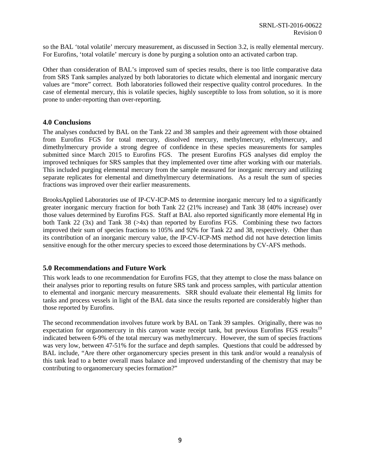so the BAL 'total volatile' mercury measurement, as discussed in Section 3.2, is really elemental mercury. For Eurofins, 'total volatile' mercury is done by purging a solution onto an activated carbon trap.

Other than consideration of BAL's improved sum of species results, there is too little comparative data from SRS Tank samples analyzed by both laboratories to dictate which elemental and inorganic mercury values are "more" correct. Both laboratories followed their respective quality control procedures. In the case of elemental mercury, this is volatile species, highly susceptible to loss from solution, so it is more prone to under-reporting than over-reporting.

#### <span id="page-17-0"></span>**4.0 Conclusions**

The analyses conducted by BAL on the Tank 22 and 38 samples and their agreement with those obtained from Eurofins FGS for total mercury, dissolved mercury, methylmercury, ethylmercury, and dimethylmercury provide a strong degree of confidence in these species measurements for samples submitted since March 2015 to Eurofins FGS. The present Eurofins FGS analyses did employ the improved techniques for SRS samples that they implemented over time after working with our materials. This included purging elemental mercury from the sample measured for inorganic mercury and utilizing separate replicates for elemental and dimethylmercury determinations. As a result the sum of species fractions was improved over their earlier measurements.

BrooksApplied Laboratories use of IP-CV-ICP-MS to determine inorganic mercury led to a significantly greater inorganic mercury fraction for both Tank 22 (21% increase) and Tank 38 (40% increase) over those values determined by Eurofins FGS. Staff at BAL also reported significantly more elemental Hg in both Tank 22 (3x) and Tank 38 ( $>4x$ ) than reported by Eurofins FGS. Combining these two factors improved their sum of species fractions to 105% and 92% for Tank 22 and 38, respectively. Other than its contribution of an inorganic mercury value, the IP-CV-ICP-MS method did not have detection limits sensitive enough for the other mercury species to exceed those determinations by CV-AFS methods.

#### <span id="page-17-1"></span>**5.0 Recommendations and Future Work**

This work leads to one recommendation for Eurofins FGS, that they attempt to close the mass balance on their analyses prior to reporting results on future SRS tank and process samples, with particular attention to elemental and inorganic mercury measurements. SRR should evaluate their elemental Hg limits for tanks and process vessels in light of the BAL data since the results reported are considerably higher than those reported by Eurofins.

The second recommendation involves future work by BAL on Tank 39 samples. Originally, there was no expectation for organomercury in this canyon waste receipt tank, but previous Eurofins FGS results<sup>[19](#page-9-0)</sup> indicated between 6-9% of the total mercury was methylmercury. However, the sum of species fractions was very low, between 47-51% for the surface and depth samples. Questions that could be addressed by BAL include, "Are there other organomercury species present in this tank and/or would a reanalysis of this tank lead to a better overall mass balance and improved understanding of the chemistry that may be contributing to organomercury species formation?"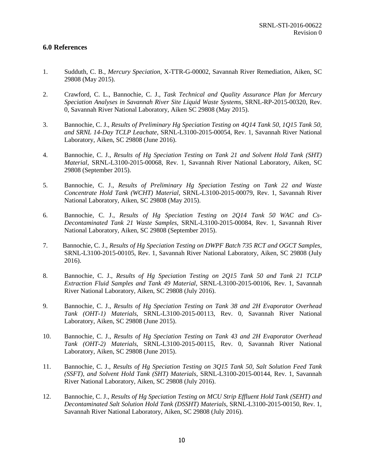#### <span id="page-18-1"></span><span id="page-18-0"></span>**6.0 References**

- 1. Sudduth, C. B., *Mercury Speciation*, X-TTR-G-00002, Savannah River Remediation, Aiken, SC 29808 (May 2015).
- <span id="page-18-2"></span>2. Crawford, C. L., Bannochie, C. J., *Task Technical and Quality Assurance Plan for Mercury Speciation Analyses in Savannah River Site Liquid Waste Systems*, SRNL-RP-2015-00320, Rev. 0, Savannah River National Laboratory, Aiken SC 29808 (May 2015).
- 3. Bannochie, C. J., *Results of Preliminary Hg Speciation Testing on 4Q14 Tank 50, 1Q15 Tank 50, and SRNL 14-Day TCLP Leachate*, SRNL-L3100-2015-00054, Rev. 1, Savannah River National Laboratory, Aiken, SC 29808 (June 2016).
- 4. Bannochie, C. J., *Results of Hg Speciation Testing on Tank 21 and Solvent Hold Tank (SHT) Material*, SRNL-L3100-2015-00068, Rev. 1, Savannah River National Laboratory, Aiken, SC 29808 (September 2015).
- 5. Bannochie, C. J., *Results of Preliminary Hg Speciation Testing on Tank 22 and Waste Concentrate Hold Tank (WCHT) Material*, SRNL-L3100-2015-00079, Rev. 1, Savannah River National Laboratory, Aiken, SC 29808 (May 2015).
- 6. Bannochie, C. J., *Results of Hg Speciation Testing on 2Q14 Tank 50 WAC and Cs-Decontaminated Tank 21 Waste Samples*, SRNL-L3100-2015-00084, Rev. 1, Savannah River National Laboratory, Aiken, SC 29808 (September 2015).
- 7. Bannochie, C. J., *Results of Hg Speciation Testing on DWPF Batch 735 RCT and OGCT Samples*, SRNL-L3100-2015-00105, Rev. 1, Savannah River National Laboratory, Aiken, SC 29808 (July 2016).
- 8. Bannochie, C. J., *Results of Hg Speciation Testing on 2Q15 Tank 50 and Tank 21 TCLP Extraction Fluid Samples and Tank 49 Material*, SRNL-L3100-2015-00106, Rev. 1, Savannah River National Laboratory, Aiken, SC 29808 (July 2016).
- 9. Bannochie, C. J., *Results of Hg Speciation Testing on Tank 38 and 2H Evaporator Overhead Tank (OHT-1) Materials*, SRNL-L3100-2015-00113, Rev. 0, Savannah River National Laboratory, Aiken, SC 29808 (June 2015).
- 10. Bannochie, C. J., *Results of Hg Speciation Testing on Tank 43 and 2H Evaporator Overhead Tank (OHT-2) Materials*, SRNL-L3100-2015-00115, Rev. 0, Savannah River National Laboratory, Aiken, SC 29808 (June 2015).
- 11. Bannochie, C. J., *Results of Hg Speciation Testing on 3Q15 Tank 50, Salt Solution Feed Tank (SSFT), and Solvent Hold Tank (SHT) Materials*, SRNL-L3100-2015-00144, Rev. 1, Savannah River National Laboratory, Aiken, SC 29808 (July 2016).
- 12. Bannochie, C. J., *Results of Hg Speciation Testing on MCU Strip Effluent Hold Tank (SEHT) and Decontaminated Salt Solution Hold Tank (DSSHT) Materials*, SRNL-L3100-2015-00150, Rev. 1, Savannah River National Laboratory, Aiken, SC 29808 (July 2016).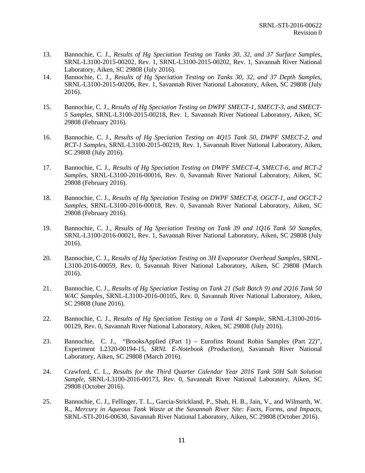- 13. Bannochie, C. J., *Results of Hg Speciation Testing on Tanks 30, 32, and 37 Surface Samples*, SRNL-L3100-2015-00202, Rev. 1, SRNL-L3100-2015-00202, Rev. 1, Savannah River National Laboratory, Aiken, SC 29808 (July 2016).
- 14. Bannochie, C. J., *Results of Hg Speciation Testing on Tanks 30, 32, and 37 Depth Samples*, SRNL-L3100-2015-00206, Rev. 1, Savannah River National Laboratory, Aiken, SC 29808 (July 2016).
- <span id="page-19-0"></span>15. Bannochie, C. J., *Results of Hg Speciation Testing on DWPF SMECT-1, SMECT-3, and SMECT-5 Samples*, SRNL-L3100-2015-00218, Rev. 1, Savannah River National Laboratory, Aiken, SC 29808 (February 2016).
- 16. Bannochie, C. J., *Results of Hg Speciation Testing on 4Q15 Tank 50, DWPF SMECT-2, and RCT-1 Samples*, SRNL-L3100-2015-00219, Rev. 1, Savannah River National Laboratory, Aiken, SC 29808 (July 2016).
- 17. Bannochie, C. J., *Results of Hg Speciation Testing on DWPF SMECT-4, SMECT-6, and RCT-2 Samples*, SRNL-L3100-2016-00016, Rev. 0, Savannah River National Laboratory, Aiken, SC 29808 (February 2016).
- 18. Bannochie, C. J., *Results of Hg Speciation Testing on DWPF SMECT-8, OGCT-1, and OGCT-2 Samples*, SRNL-L3100-2016-00018, Rev. 0, Savannah River National Laboratory, Aiken, SC 29808 (February 2016).
- 19. Bannochie, C. J., *Results of Hg Speciation Testing on Tank 39 and 1Q16 Tank 50 Samples*, SRNL-L3100-2016-00021, Rev. 1, Savannah River National Laboratory, Aiken, SC 29808 (July 2016).
- 20. Bannochie, C. J., *Results of Hg Speciation Testing on 3H Evaporator Overhead Samples*, SRNL-L3100-2016-00059, Rev. 0, Savannah River National Laboratory, Aiken, SC 29808 (March 2016).
- 21. Bannochie, C. J., *Results of Hg Speciation Testing on Tank 21 (Salt Batch 9) and 2Q16 Tank 50 WAC Samples*, SRNL-L3100-2016-00105, Rev. 0, Savannah River National Laboratory, Aiken, SC 29808 (June 2016).
- 22. Bannochie, C. J., *Results of Hg Speciation Testing on a Tank 41 Sample*, SRNL-L3100-2016- 00129, Rev. 0, Savannah River National Laboratory, Aiken, SC 29808 (July 2016).
- 23. Bannochie, C. J., "BrooksApplied (Part 1) Eurofins Round Robin Samples (Part 22)", Experiment L2320-00194-15, *SRNL E-Notebook (Production)*, Savannah River National Laboratory, Aiken, SC 29808 (March 2016).
- 24. Crawford, C. L., *Results for the Third Quarter Calendar Year 2016 Tank 50H Salt Solution Sample*, SRNL-L3100-2016-00173, Rev. 0, Savannah River National Laboratory, Aiken, SC 29808 (October 2016).
- 25. Bannochie, C. J., Fellinger, T. L., Garcia-Strickland, P., Shah, H. B., Jain, V., and Wilmarth, W. R., *Mercury in Aqueous Tank Waste at the Savannah River Site: Facts, Forms, and Impacts*, SRNL-STI-2016-00630, Savannah River National Laboratory, Aiken, SC 29808 (October 2016).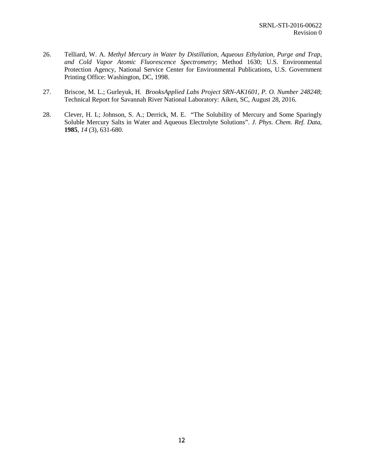- 26. Telliard, W. A. *Methyl Mercury in Water by Distillation, Aqueous Ethylation, Purge and Trap, and Cold Vapor Atomic Fluorescence Spectrometry*; Method 1630; U.S. Environmental Protection Agency, National Service Center for Environmental Publications, U.S. Government Printing Office: Washington, DC, 1998.
- 27. Briscoe, M. L.; Gurleyuk, H. *BrooksApplied Labs Project SRN-AK1601, P. O. Number 248248*; Technical Report for Savannah River National Laboratory: Aiken, SC, August 28, 2016.
- 28. Clever, H. L; Johnson, S. A.; Derrick, M. E. "The Solubility of Mercury and Some Sparingly Soluble Mercury Salts in Water and Aqueous Electrolyte Solutions". *J. Phys. Chem. Ref. Data*, **1985**, *14* (3), 631-680.